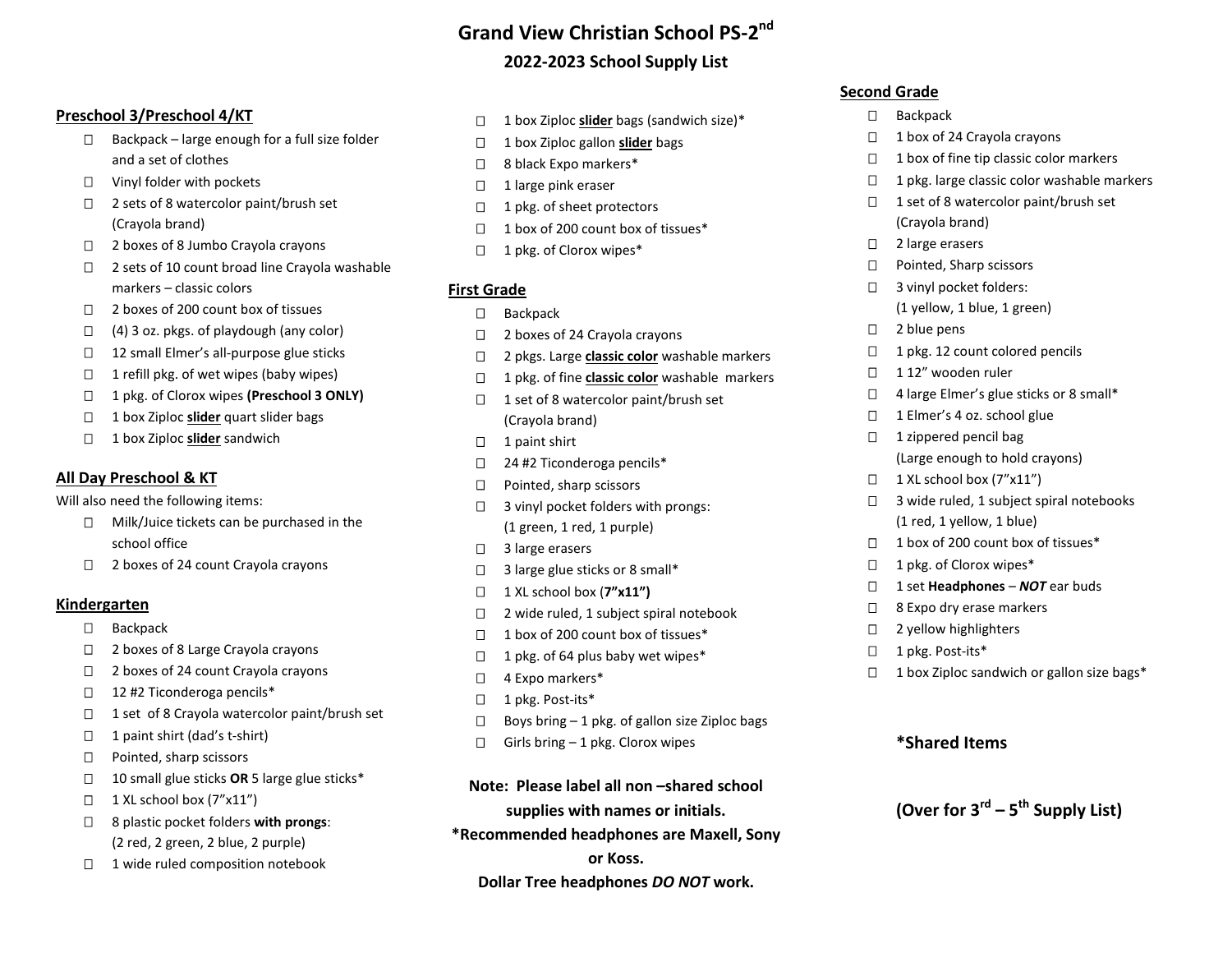# **Grand View Christian School PS-2 nd 2022-2023 School Supply List**

#### **Preschool 3/Preschool 4/KT**

- $\Box$  Backpack large enough for a full size folder and a set of clothes
- □ Vinyl folder with pockets
- $\Box$  2 sets of 8 watercolor paint/brush set (Crayola brand)
- □ 2 boxes of 8 Jumbo Crayola crayons
- □ 2 sets of 10 count broad line Crayola washable markers – classic colors
- $\Box$  2 boxes of 200 count box of tissues
- $\Box$  (4) 3 oz. pkgs. of playdough (any color)
- □ 12 small Elmer's all-purpose glue sticks
- $\Box$  1 refill pkg. of wet wipes (baby wipes)
- 1 pkg. of Clorox wipes **(Preschool 3 ONLY)**
- □ 1 box Ziploc **slider** quart slider bags
- □ 1 box Ziploc **slider** sandwich

### **All Day Preschool & KT**

Will also need the following items:

- $\Box$  Milk/Juice tickets can be purchased in the school office
- □ 2 boxes of 24 count Crayola crayons

#### **Kindergarten**

- □ Backpack
- □ 2 boxes of 8 Large Crayola crayons
- □ 2 boxes of 24 count Crayola crayons
- □ 12 #2 Ticonderoga pencils\*
- $\Box$  1 set of 8 Crayola watercolor paint/brush set
- $\Box$  1 paint shirt (dad's t-shirt)
- □ Pointed, sharp scissors
- 10 small glue sticks **OR** 5 large glue sticks\*
- $\Box$  1 XL school box (7"x11")
- 8 plastic pocket folders **with prongs**: (2 red, 2 green, 2 blue, 2 purple)
- $\Box$  1 wide ruled composition notebook
- □ 1 box Ziploc **slider** bags (sandwich size)<sup>\*</sup>
- □ 1 box Ziploc gallon **slider** bags
- □ 8 black Expo markers\*
- $\Box$  1 large pink eraser
- □ 1 pkg. of sheet protectors
- $\Box$  1 box of 200 count box of tissues\*
- $\Box$  1 pkg. of Clorox wipes\*

## **First Grade**

- □ Backpack
- □ 2 boxes of 24 Crayola crayons
- □ 2 pkgs. Large **classic color** washable markers
- □ 1 pkg. of fine **classic color** washable markers
- $\Box$  1 set of 8 watercolor paint/brush set (Crayola brand)
- $\Box$  1 paint shirt
- □ 24 #2 Ticonderoga pencils\*
- □ Pointed, sharp scissors
- $\Box$  3 vinyl pocket folders with prongs: (1 green, 1 red, 1 purple)
- □ 3 large erasers
- $\Box$  3 large glue sticks or 8 small\*
- 1 XL school box (**7"x11")**
- $\Box$  2 wide ruled, 1 subject spiral notebook
- $\Box$  1 box of 200 count box of tissues\*
- $\Box$  1 pkg. of 64 plus baby wet wipes\*
- $\Box$  4 Expo markers\*
- $\Box$  1 pkg. Post-its\*
- $\Box$  Boys bring  $-1$  pkg. of gallon size Ziploc bags
- $\Box$  Girls bring 1 pkg. Clorox wipes

#### **Note: Please label all non –shared school**

**supplies with names or initials.**

**\*Recommended headphones are Maxell, Sony** 

## **or Koss.**

**Dollar Tree headphones** *DO NOT* **work.**

## **Second Grade**

- □ Backpack
- $\Box$  1 box of 24 Crayola crayons
- $\Box$  1 box of fine tip classic color markers
- $\Box$  1 pkg. large classic color washable markers
- $\Box$  1 set of 8 watercolor paint/brush set (Crayola brand)
- □ 2 large erasers
- □ Pointed, Sharp scissors
- □ 3 vinyl pocket folders: (1 yellow, 1 blue, 1 green)
- $\Box$  2 blue pens
- $\Box$  1 pkg. 12 count colored pencils
- □ 1 12" wooden ruler
- □ 4 large Elmer's glue sticks or 8 small\*
- □ 1 Elmer's 4 oz. school glue
- $\Box$  1 zippered pencil bag (Large enough to hold crayons)
- $\Box$  1 XL school box (7"x11")
- $\Box$  3 wide ruled, 1 subject spiral notebooks (1 red, 1 yellow, 1 blue)
- $\Box$  1 box of 200 count box of tissues\*
- □ 1 pkg. of Clorox wipes\*
- 1 set **Headphones** *NOT* ear buds
- □ 8 Expo dry erase markers
- □ 2 yellow highlighters
- $\Box$  1 pkg. Post-its\*
- $\Box$  1 box Ziploc sandwich or gallon size bags\*

## **\*Shared Items**

**(Over for 3rd – 5 th Supply List)**